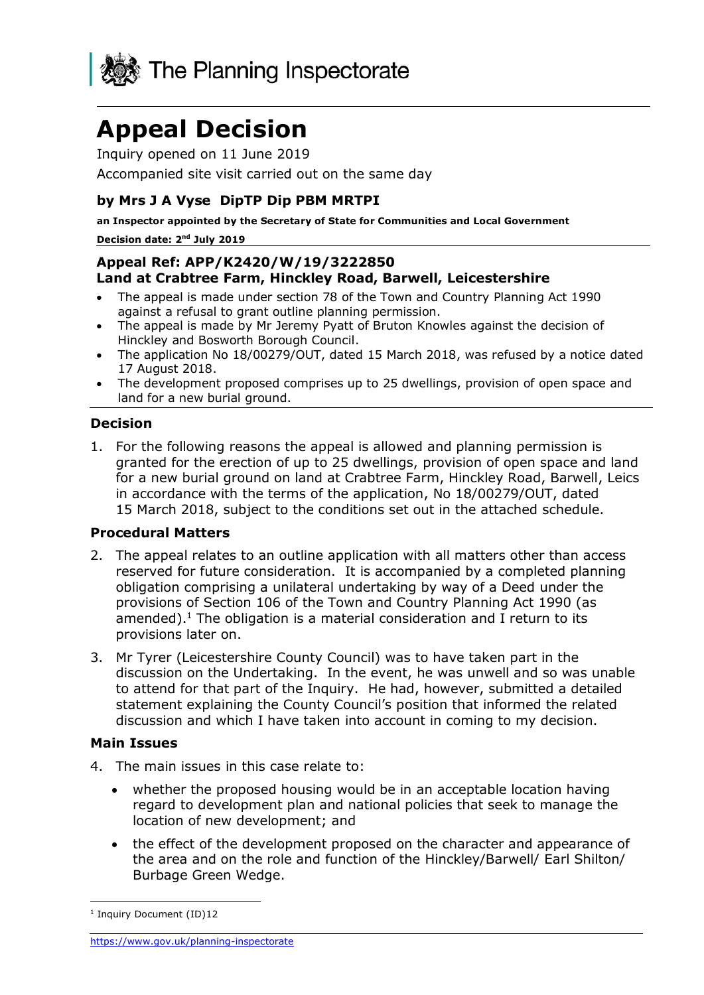

# **Appeal Decision**

Inquiry opened on 11 June 2019

Accompanied site visit carried out on the same day

# **by Mrs J A Vyse DipTP Dip PBM MRTPI**

**an Inspector appointed by the Secretary of State for Communities and Local Government** Decision date: 2<sup>nd</sup> July 2019

# **Appeal Ref: APP/K2420/W/19/3222850 Land at Crabtree Farm, Hinckley Road, Barwell, Leicestershire**

- The appeal is made under section 78 of the Town and Country Planning Act 1990 against a refusal to grant outline planning permission.
- The appeal is made by Mr Jeremy Pyatt of Bruton Knowles against the decision of Hinckley and Bosworth Borough Council.
- The application No 18/00279/OUT, dated 15 March 2018, was refused by a notice dated 17 August 2018.
- The development proposed comprises up to 25 dwellings, provision of open space and land for a new burial ground.

# **Decision**

1. For the following reasons the appeal is allowed and planning permission is granted for the erection of up to 25 dwellings, provision of open space and land for a new burial ground on land at Crabtree Farm, Hinckley Road, Barwell, Leics in accordance with the terms of the application, No 18/00279/OUT, dated 15 March 2018, subject to the conditions set out in the attached schedule.

# **Procedural Matters**

- 2. The appeal relates to an outline application with all matters other than access reserved for future consideration. It is accompanied by a completed planning obligation comprising a unilateral undertaking by way of a Deed under the provisions of Section 106 of the Town and Country Planning Act 1990 (as amended). $<sup>1</sup>$  The obligation is a material consideration and I return to its</sup> provisions later on.
- 3. Mr Tyrer (Leicestershire County Council) was to have taken part in the discussion on the Undertaking. In the event, he was unwell and so was unable to attend for that part of the Inquiry. He had, however, submitted a detailed statement explaining the County Council's position that informed the related discussion and which I have taken into account in coming to my decision.

# **Main Issues**

- 4. The main issues in this case relate to:
	- whether the proposed housing would be in an acceptable location having regard to development plan and national policies that seek to manage the location of new development; and
	- the effect of the development proposed on the character and appearance of the area and on the role and function of the Hinckley/Barwell/ Earl Shilton/ Burbage Green Wedge.

<sup>-</sup><sup>1</sup> Inquiry Document (ID)12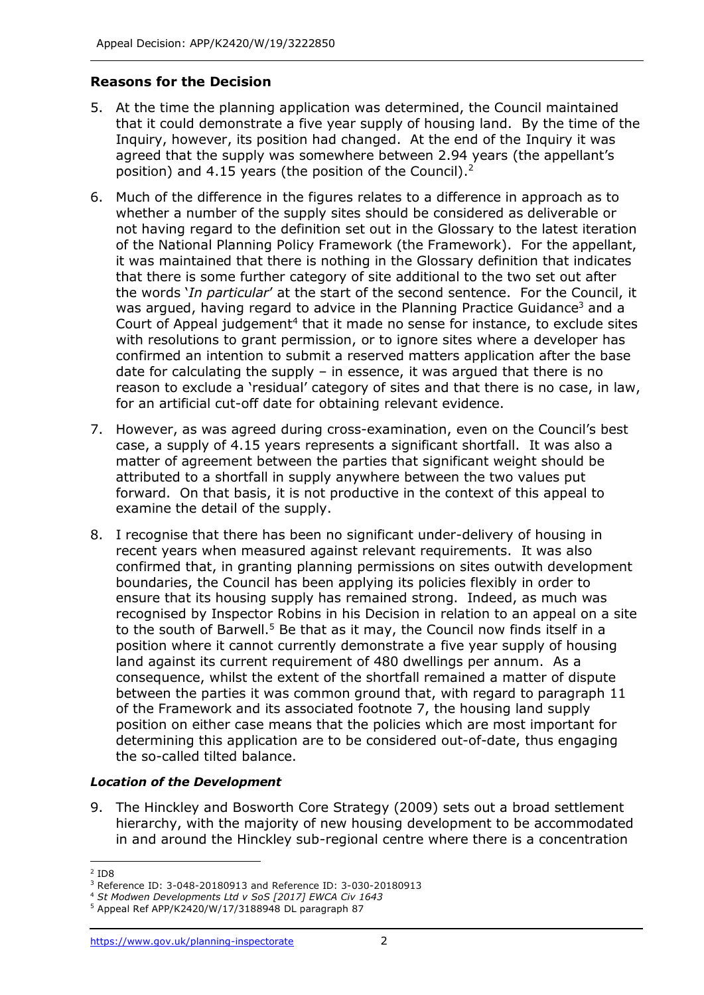# **Reasons for the Decision**

- 5. At the time the planning application was determined, the Council maintained that it could demonstrate a five year supply of housing land. By the time of the Inquiry, however, its position had changed. At the end of the Inquiry it was agreed that the supply was somewhere between 2.94 years (the appellant's position) and 4.15 years (the position of the Council).<sup>2</sup>
- 6. Much of the difference in the figures relates to a difference in approach as to whether a number of the supply sites should be considered as deliverable or not having regard to the definition set out in the Glossary to the latest iteration of the National Planning Policy Framework (the Framework). For the appellant, it was maintained that there is nothing in the Glossary definition that indicates that there is some further category of site additional to the two set out after the words '*In particular*' at the start of the second sentence. For the Council, it was argued, having regard to advice in the Planning Practice Guidance<sup>3</sup> and a Court of Appeal judgement<sup>4</sup> that it made no sense for instance, to exclude sites with resolutions to grant permission, or to ignore sites where a developer has confirmed an intention to submit a reserved matters application after the base date for calculating the supply – in essence, it was argued that there is no reason to exclude a 'residual' category of sites and that there is no case, in law, for an artificial cut-off date for obtaining relevant evidence.
- 7. However, as was agreed during cross-examination, even on the Council's best case, a supply of 4.15 years represents a significant shortfall. It was also a matter of agreement between the parties that significant weight should be attributed to a shortfall in supply anywhere between the two values put forward. On that basis, it is not productive in the context of this appeal to examine the detail of the supply.
- 8. I recognise that there has been no significant under-delivery of housing in recent years when measured against relevant requirements. It was also confirmed that, in granting planning permissions on sites outwith development boundaries, the Council has been applying its policies flexibly in order to ensure that its housing supply has remained strong. Indeed, as much was recognised by Inspector Robins in his Decision in relation to an appeal on a site to the south of Barwell.<sup>5</sup> Be that as it may, the Council now finds itself in a position where it cannot currently demonstrate a five year supply of housing land against its current requirement of 480 dwellings per annum. As a consequence, whilst the extent of the shortfall remained a matter of dispute between the parties it was common ground that, with regard to paragraph 11 of the Framework and its associated footnote 7, the housing land supply position on either case means that the policies which are most important for determining this application are to be considered out-of-date, thus engaging the so-called tilted balance.

# *Location of the Development*

9. The Hinckley and Bosworth Core Strategy (2009) sets out a broad settlement hierarchy, with the majority of new housing development to be accommodated in and around the Hinckley sub-regional centre where there is a concentration

<sup>-</sup>2 ID8

<sup>3</sup> Reference ID: 3-048-20180913 and Reference ID: 3-030-20180913

<sup>4</sup> *St Modwen Developments Ltd v SoS [2017] EWCA Civ 1643*

<sup>5</sup> Appeal Ref APP/K2420/W/17/3188948 DL paragraph 87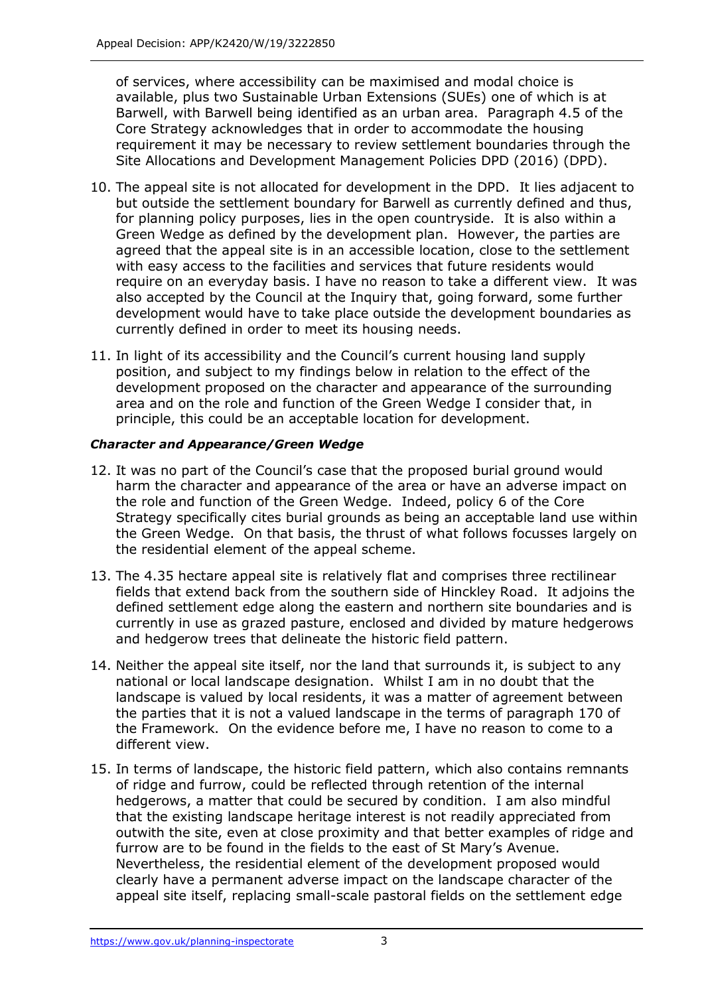of services, where accessibility can be maximised and modal choice is available, plus two Sustainable Urban Extensions (SUEs) one of which is at Barwell, with Barwell being identified as an urban area. Paragraph 4.5 of the Core Strategy acknowledges that in order to accommodate the housing requirement it may be necessary to review settlement boundaries through the Site Allocations and Development Management Policies DPD (2016) (DPD).

- 10. The appeal site is not allocated for development in the DPD. It lies adjacent to but outside the settlement boundary for Barwell as currently defined and thus, for planning policy purposes, lies in the open countryside. It is also within a Green Wedge as defined by the development plan. However, the parties are agreed that the appeal site is in an accessible location, close to the settlement with easy access to the facilities and services that future residents would require on an everyday basis. I have no reason to take a different view. It was also accepted by the Council at the Inquiry that, going forward, some further development would have to take place outside the development boundaries as currently defined in order to meet its housing needs.
- 11. In light of its accessibility and the Council's current housing land supply position, and subject to my findings below in relation to the effect of the development proposed on the character and appearance of the surrounding area and on the role and function of the Green Wedge I consider that, in principle, this could be an acceptable location for development.

# *Character and Appearance/Green Wedge*

- 12. It was no part of the Council's case that the proposed burial ground would harm the character and appearance of the area or have an adverse impact on the role and function of the Green Wedge. Indeed, policy 6 of the Core Strategy specifically cites burial grounds as being an acceptable land use within the Green Wedge. On that basis, the thrust of what follows focusses largely on the residential element of the appeal scheme.
- 13. The 4.35 hectare appeal site is relatively flat and comprises three rectilinear fields that extend back from the southern side of Hinckley Road. It adjoins the defined settlement edge along the eastern and northern site boundaries and is currently in use as grazed pasture, enclosed and divided by mature hedgerows and hedgerow trees that delineate the historic field pattern.
- 14. Neither the appeal site itself, nor the land that surrounds it, is subject to any national or local landscape designation. Whilst I am in no doubt that the landscape is valued by local residents, it was a matter of agreement between the parties that it is not a valued landscape in the terms of paragraph 170 of the Framework. On the evidence before me, I have no reason to come to a different view.
- 15. In terms of landscape, the historic field pattern, which also contains remnants of ridge and furrow, could be reflected through retention of the internal hedgerows, a matter that could be secured by condition. I am also mindful that the existing landscape heritage interest is not readily appreciated from outwith the site, even at close proximity and that better examples of ridge and furrow are to be found in the fields to the east of St Mary's Avenue. Nevertheless, the residential element of the development proposed would clearly have a permanent adverse impact on the landscape character of the appeal site itself, replacing small-scale pastoral fields on the settlement edge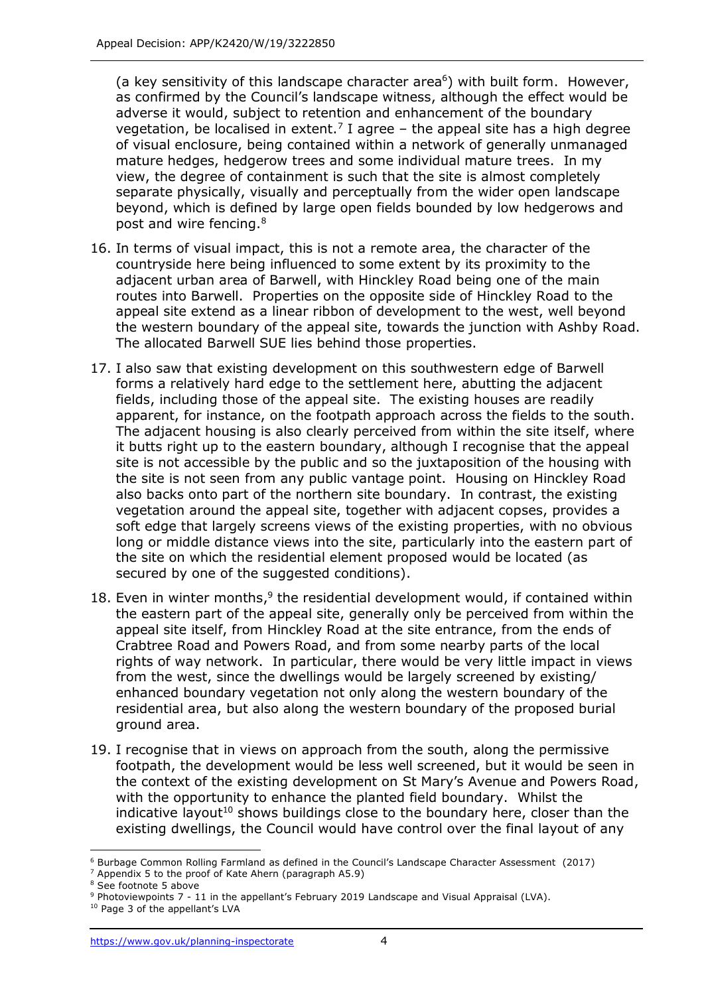(a key sensitivity of this landscape character area $6$ ) with built form. However, as confirmed by the Council's landscape witness, although the effect would be adverse it would, subject to retention and enhancement of the boundary vegetation, be localised in extent.<sup>7</sup> I agree  $-$  the appeal site has a high degree of visual enclosure, being contained within a network of generally unmanaged mature hedges, hedgerow trees and some individual mature trees. In my view, the degree of containment is such that the site is almost completely separate physically, visually and perceptually from the wider open landscape beyond, which is defined by large open fields bounded by low hedgerows and post and wire fencing.<sup>8</sup>

- 16. In terms of visual impact, this is not a remote area, the character of the countryside here being influenced to some extent by its proximity to the adjacent urban area of Barwell, with Hinckley Road being one of the main routes into Barwell. Properties on the opposite side of Hinckley Road to the appeal site extend as a linear ribbon of development to the west, well beyond the western boundary of the appeal site, towards the junction with Ashby Road. The allocated Barwell SUE lies behind those properties.
- 17. I also saw that existing development on this southwestern edge of Barwell forms a relatively hard edge to the settlement here, abutting the adjacent fields, including those of the appeal site. The existing houses are readily apparent, for instance, on the footpath approach across the fields to the south. The adjacent housing is also clearly perceived from within the site itself, where it butts right up to the eastern boundary, although I recognise that the appeal site is not accessible by the public and so the juxtaposition of the housing with the site is not seen from any public vantage point. Housing on Hinckley Road also backs onto part of the northern site boundary. In contrast, the existing vegetation around the appeal site, together with adjacent copses, provides a soft edge that largely screens views of the existing properties, with no obvious long or middle distance views into the site, particularly into the eastern part of the site on which the residential element proposed would be located (as secured by one of the suggested conditions).
- 18. Even in winter months,<sup>9</sup> the residential development would, if contained within the eastern part of the appeal site, generally only be perceived from within the appeal site itself, from Hinckley Road at the site entrance, from the ends of Crabtree Road and Powers Road, and from some nearby parts of the local rights of way network. In particular, there would be very little impact in views from the west, since the dwellings would be largely screened by existing/ enhanced boundary vegetation not only along the western boundary of the residential area, but also along the western boundary of the proposed burial ground area.
- 19. I recognise that in views on approach from the south, along the permissive footpath, the development would be less well screened, but it would be seen in the context of the existing development on St Mary's Avenue and Powers Road, with the opportunity to enhance the planted field boundary. Whilst the indicative layout<sup>10</sup> shows buildings close to the boundary here, closer than the existing dwellings, the Council would have control over the final layout of any

 $\overline{a}$ <sup>6</sup> Burbage Common Rolling Farmland as defined in the Council's Landscape Character Assessment (2017)

<sup>7</sup> Appendix 5 to the proof of Kate Ahern (paragraph A5.9)

<sup>8</sup> See footnote 5 above

<sup>9</sup> Photoviewpoints 7 - 11 in the appellant's February 2019 Landscape and Visual Appraisal (LVA).

<sup>&</sup>lt;sup>10</sup> Page 3 of the appellant's LVA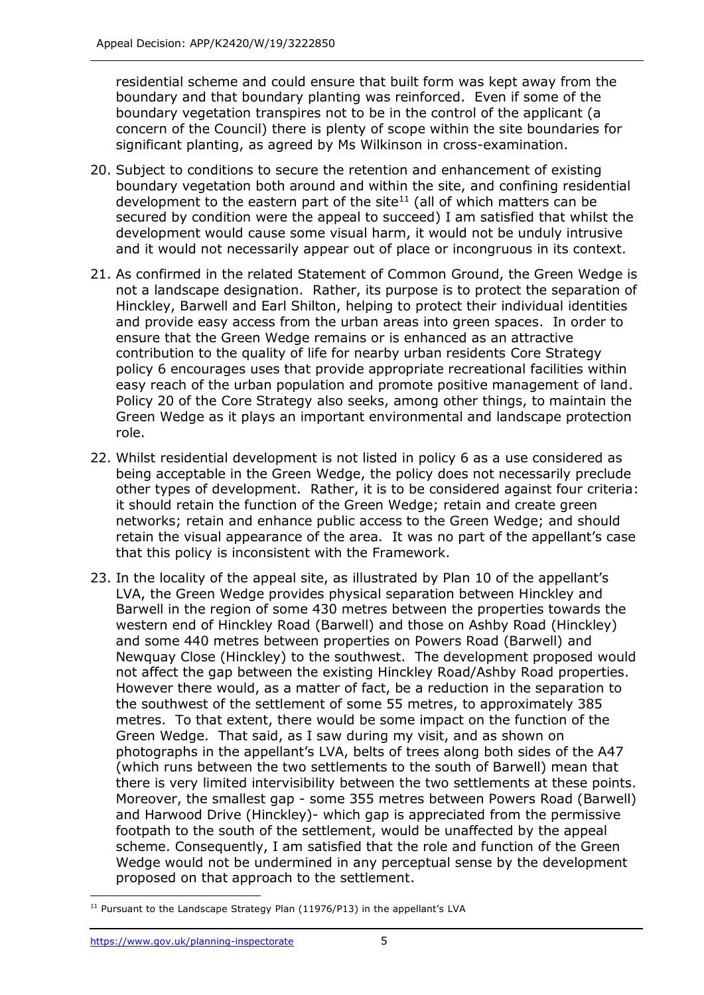residential scheme and could ensure that built form was kept away from the boundary and that boundary planting was reinforced. Even if some of the boundary vegetation transpires not to be in the control of the applicant (a concern of the Council) there is plenty of scope within the site boundaries for significant planting, as agreed by Ms Wilkinson in cross-examination.

- 20. Subject to conditions to secure the retention and enhancement of existing boundary vegetation both around and within the site, and confining residential development to the eastern part of the site<sup>11</sup> (all of which matters can be secured by condition were the appeal to succeed) I am satisfied that whilst the development would cause some visual harm, it would not be unduly intrusive and it would not necessarily appear out of place or incongruous in its context.
- 21. As confirmed in the related Statement of Common Ground, the Green Wedge is not a landscape designation. Rather, its purpose is to protect the separation of Hinckley, Barwell and Earl Shilton, helping to protect their individual identities and provide easy access from the urban areas into green spaces. In order to ensure that the Green Wedge remains or is enhanced as an attractive contribution to the quality of life for nearby urban residents Core Strategy policy 6 encourages uses that provide appropriate recreational facilities within easy reach of the urban population and promote positive management of land. Policy 20 of the Core Strategy also seeks, among other things, to maintain the Green Wedge as it plays an important environmental and landscape protection role.
- 22. Whilst residential development is not listed in policy 6 as a use considered as being acceptable in the Green Wedge, the policy does not necessarily preclude other types of development. Rather, it is to be considered against four criteria: it should retain the function of the Green Wedge; retain and create green networks; retain and enhance public access to the Green Wedge; and should retain the visual appearance of the area. It was no part of the appellant's case that this policy is inconsistent with the Framework.
- 23. In the locality of the appeal site, as illustrated by Plan 10 of the appellant's LVA, the Green Wedge provides physical separation between Hinckley and Barwell in the region of some 430 metres between the properties towards the western end of Hinckley Road (Barwell) and those on Ashby Road (Hinckley) and some 440 metres between properties on Powers Road (Barwell) and Newquay Close (Hinckley) to the southwest. The development proposed would not affect the gap between the existing Hinckley Road/Ashby Road properties. However there would, as a matter of fact, be a reduction in the separation to the southwest of the settlement of some 55 metres, to approximately 385 metres. To that extent, there would be some impact on the function of the Green Wedge. That said, as I saw during my visit, and as shown on photographs in the appellant's LVA, belts of trees along both sides of the A47 (which runs between the two settlements to the south of Barwell) mean that there is very limited intervisibility between the two settlements at these points. Moreover, the smallest gap - some 355 metres between Powers Road (Barwell) and Harwood Drive (Hinckley)- which gap is appreciated from the permissive footpath to the south of the settlement, would be unaffected by the appeal scheme. Consequently, I am satisfied that the role and function of the Green Wedge would not be undermined in any perceptual sense by the development proposed on that approach to the settlement.

j <sup>11</sup> Pursuant to the Landscape Strategy Plan (11976/P13) in the appellant's LVA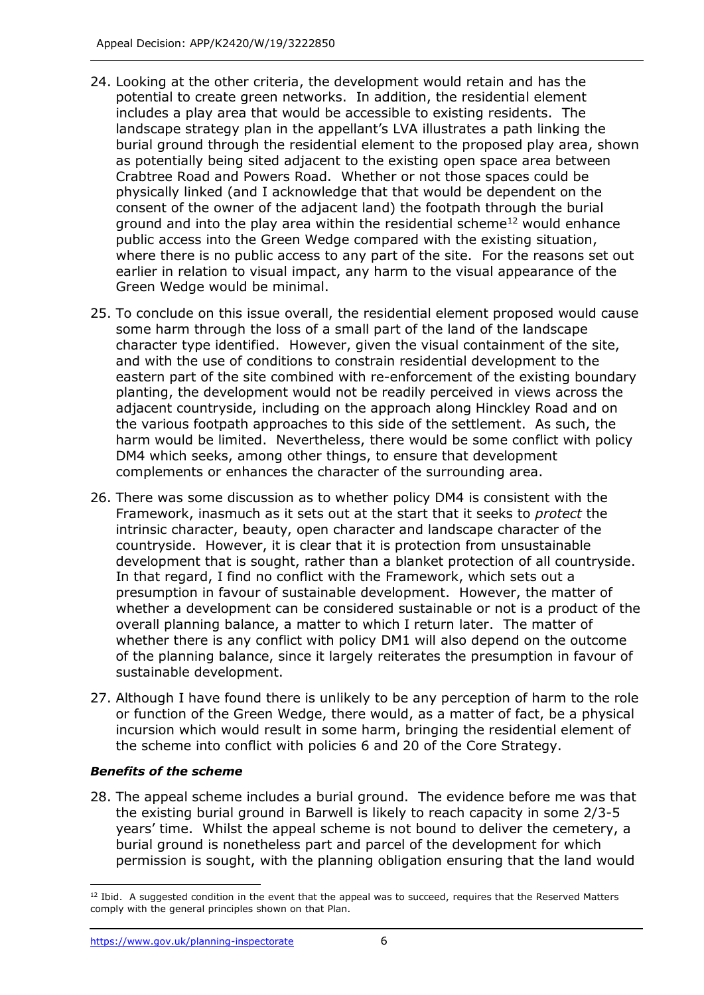- 24. Looking at the other criteria, the development would retain and has the potential to create green networks. In addition, the residential element includes a play area that would be accessible to existing residents. The landscape strategy plan in the appellant's LVA illustrates a path linking the burial ground through the residential element to the proposed play area, shown as potentially being sited adjacent to the existing open space area between Crabtree Road and Powers Road. Whether or not those spaces could be physically linked (and I acknowledge that that would be dependent on the consent of the owner of the adjacent land) the footpath through the burial ground and into the play area within the residential scheme<sup>12</sup> would enhance public access into the Green Wedge compared with the existing situation, where there is no public access to any part of the site. For the reasons set out earlier in relation to visual impact, any harm to the visual appearance of the Green Wedge would be minimal.
- 25. To conclude on this issue overall, the residential element proposed would cause some harm through the loss of a small part of the land of the landscape character type identified. However, given the visual containment of the site, and with the use of conditions to constrain residential development to the eastern part of the site combined with re-enforcement of the existing boundary planting, the development would not be readily perceived in views across the adjacent countryside, including on the approach along Hinckley Road and on the various footpath approaches to this side of the settlement. As such, the harm would be limited. Nevertheless, there would be some conflict with policy DM4 which seeks, among other things, to ensure that development complements or enhances the character of the surrounding area.
- 26. There was some discussion as to whether policy DM4 is consistent with the Framework, inasmuch as it sets out at the start that it seeks to *protect* the intrinsic character, beauty, open character and landscape character of the countryside. However, it is clear that it is protection from unsustainable development that is sought, rather than a blanket protection of all countryside. In that regard, I find no conflict with the Framework, which sets out a presumption in favour of sustainable development. However, the matter of whether a development can be considered sustainable or not is a product of the overall planning balance, a matter to which I return later. The matter of whether there is any conflict with policy DM1 will also depend on the outcome of the planning balance, since it largely reiterates the presumption in favour of sustainable development.
- 27. Although I have found there is unlikely to be any perception of harm to the role or function of the Green Wedge, there would, as a matter of fact, be a physical incursion which would result in some harm, bringing the residential element of the scheme into conflict with policies 6 and 20 of the Core Strategy.

# *Benefits of the scheme*

28. The appeal scheme includes a burial ground. The evidence before me was that the existing burial ground in Barwell is likely to reach capacity in some 2/3-5 years' time. Whilst the appeal scheme is not bound to deliver the cemetery, a burial ground is nonetheless part and parcel of the development for which permission is sought, with the planning obligation ensuring that the land would

<sup>-</sup> $12$  Ibid. A suggested condition in the event that the appeal was to succeed, requires that the Reserved Matters comply with the general principles shown on that Plan.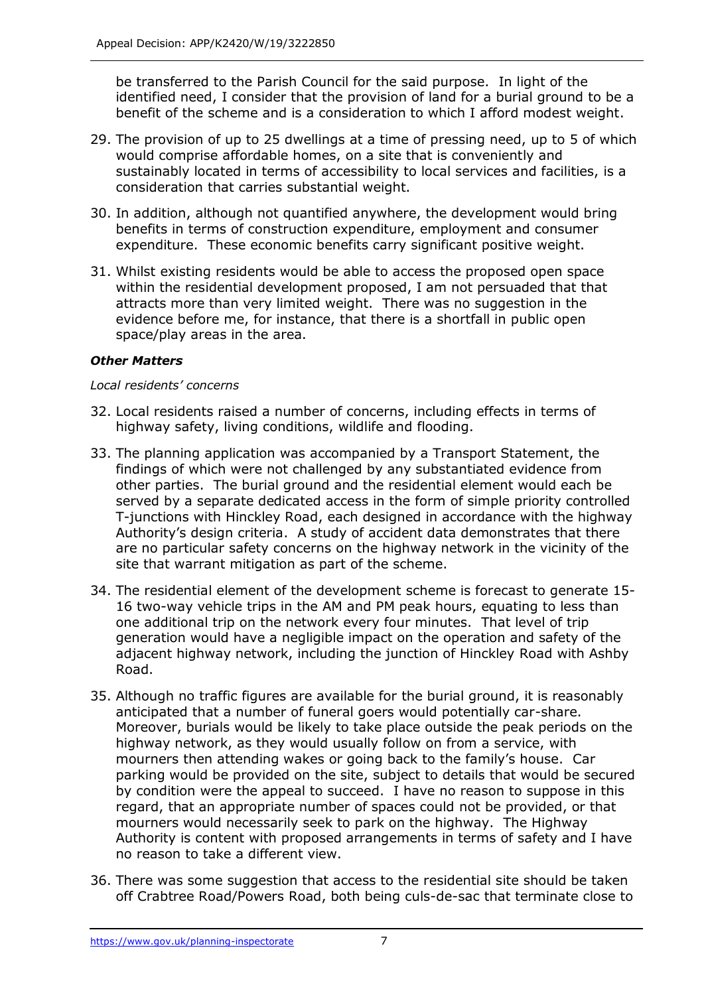be transferred to the Parish Council for the said purpose. In light of the identified need, I consider that the provision of land for a burial ground to be a benefit of the scheme and is a consideration to which I afford modest weight.

- 29. The provision of up to 25 dwellings at a time of pressing need, up to 5 of which would comprise affordable homes, on a site that is conveniently and sustainably located in terms of accessibility to local services and facilities, is a consideration that carries substantial weight.
- 30. In addition, although not quantified anywhere, the development would bring benefits in terms of construction expenditure, employment and consumer expenditure. These economic benefits carry significant positive weight.
- 31. Whilst existing residents would be able to access the proposed open space within the residential development proposed, I am not persuaded that that attracts more than very limited weight. There was no suggestion in the evidence before me, for instance, that there is a shortfall in public open space/play areas in the area.

# *Other Matters*

#### *Local residents' concerns*

- 32. Local residents raised a number of concerns, including effects in terms of highway safety, living conditions, wildlife and flooding.
- 33. The planning application was accompanied by a Transport Statement, the findings of which were not challenged by any substantiated evidence from other parties. The burial ground and the residential element would each be served by a separate dedicated access in the form of simple priority controlled T-junctions with Hinckley Road, each designed in accordance with the highway Authority's design criteria. A study of accident data demonstrates that there are no particular safety concerns on the highway network in the vicinity of the site that warrant mitigation as part of the scheme.
- 34. The residential element of the development scheme is forecast to generate 15- 16 two-way vehicle trips in the AM and PM peak hours, equating to less than one additional trip on the network every four minutes. That level of trip generation would have a negligible impact on the operation and safety of the adjacent highway network, including the junction of Hinckley Road with Ashby Road.
- 35. Although no traffic figures are available for the burial ground, it is reasonably anticipated that a number of funeral goers would potentially car-share. Moreover, burials would be likely to take place outside the peak periods on the highway network, as they would usually follow on from a service, with mourners then attending wakes or going back to the family's house. Car parking would be provided on the site, subject to details that would be secured by condition were the appeal to succeed. I have no reason to suppose in this regard, that an appropriate number of spaces could not be provided, or that mourners would necessarily seek to park on the highway. The Highway Authority is content with proposed arrangements in terms of safety and I have no reason to take a different view.
- 36. There was some suggestion that access to the residential site should be taken off Crabtree Road/Powers Road, both being culs-de-sac that terminate close to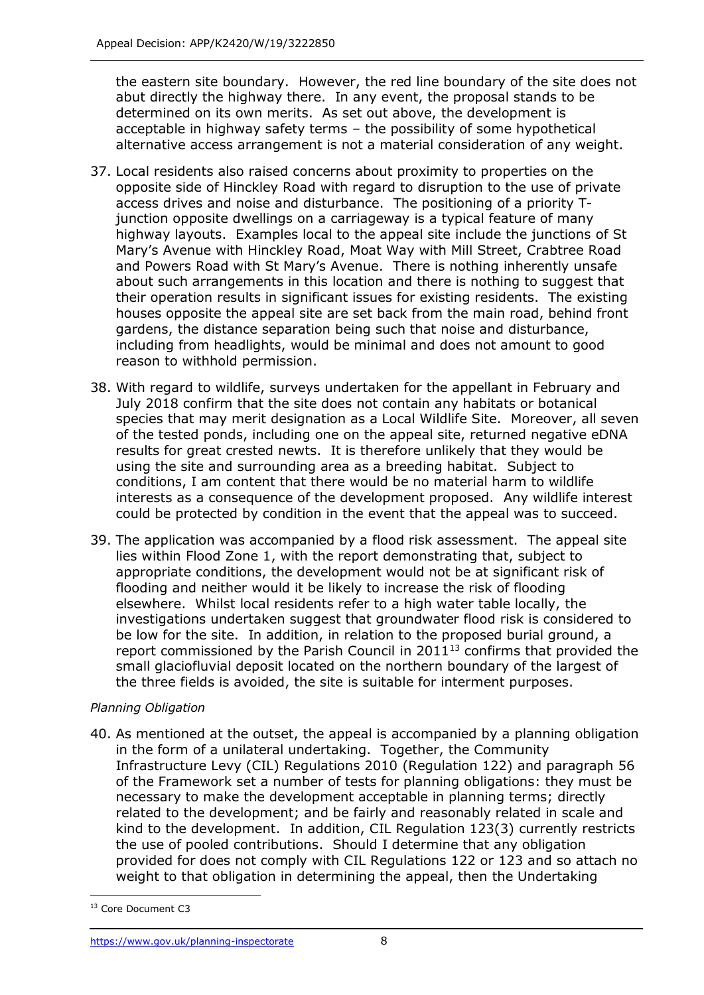the eastern site boundary. However, the red line boundary of the site does not abut directly the highway there. In any event, the proposal stands to be determined on its own merits. As set out above, the development is acceptable in highway safety terms – the possibility of some hypothetical alternative access arrangement is not a material consideration of any weight.

- 37. Local residents also raised concerns about proximity to properties on the opposite side of Hinckley Road with regard to disruption to the use of private access drives and noise and disturbance. The positioning of a priority Tjunction opposite dwellings on a carriageway is a typical feature of many highway layouts. Examples local to the appeal site include the junctions of St Mary's Avenue with Hinckley Road, Moat Way with Mill Street, Crabtree Road and Powers Road with St Mary's Avenue. There is nothing inherently unsafe about such arrangements in this location and there is nothing to suggest that their operation results in significant issues for existing residents. The existing houses opposite the appeal site are set back from the main road, behind front gardens, the distance separation being such that noise and disturbance, including from headlights, would be minimal and does not amount to good reason to withhold permission.
- 38. With regard to wildlife, surveys undertaken for the appellant in February and July 2018 confirm that the site does not contain any habitats or botanical species that may merit designation as a Local Wildlife Site. Moreover, all seven of the tested ponds, including one on the appeal site, returned negative eDNA results for great crested newts. It is therefore unlikely that they would be using the site and surrounding area as a breeding habitat. Subject to conditions, I am content that there would be no material harm to wildlife interests as a consequence of the development proposed. Any wildlife interest could be protected by condition in the event that the appeal was to succeed.
- 39. The application was accompanied by a flood risk assessment. The appeal site lies within Flood Zone 1, with the report demonstrating that, subject to appropriate conditions, the development would not be at significant risk of flooding and neither would it be likely to increase the risk of flooding elsewhere. Whilst local residents refer to a high water table locally, the investigations undertaken suggest that groundwater flood risk is considered to be low for the site. In addition, in relation to the proposed burial ground, a report commissioned by the Parish Council in  $2011^{13}$  confirms that provided the small glaciofluvial deposit located on the northern boundary of the largest of the three fields is avoided, the site is suitable for interment purposes.

# *Planning Obligation*

40. As mentioned at the outset, the appeal is accompanied by a planning obligation in the form of a unilateral undertaking. Together, the Community Infrastructure Levy (CIL) Regulations 2010 (Regulation 122) and paragraph 56 of the Framework set a number of tests for planning obligations: they must be necessary to make the development acceptable in planning terms; directly related to the development; and be fairly and reasonably related in scale and kind to the development. In addition, CIL Regulation 123(3) currently restricts the use of pooled contributions. Should I determine that any obligation provided for does not comply with CIL Regulations 122 or 123 and so attach no weight to that obligation in determining the appeal, then the Undertaking

j <sup>13</sup> Core Document C3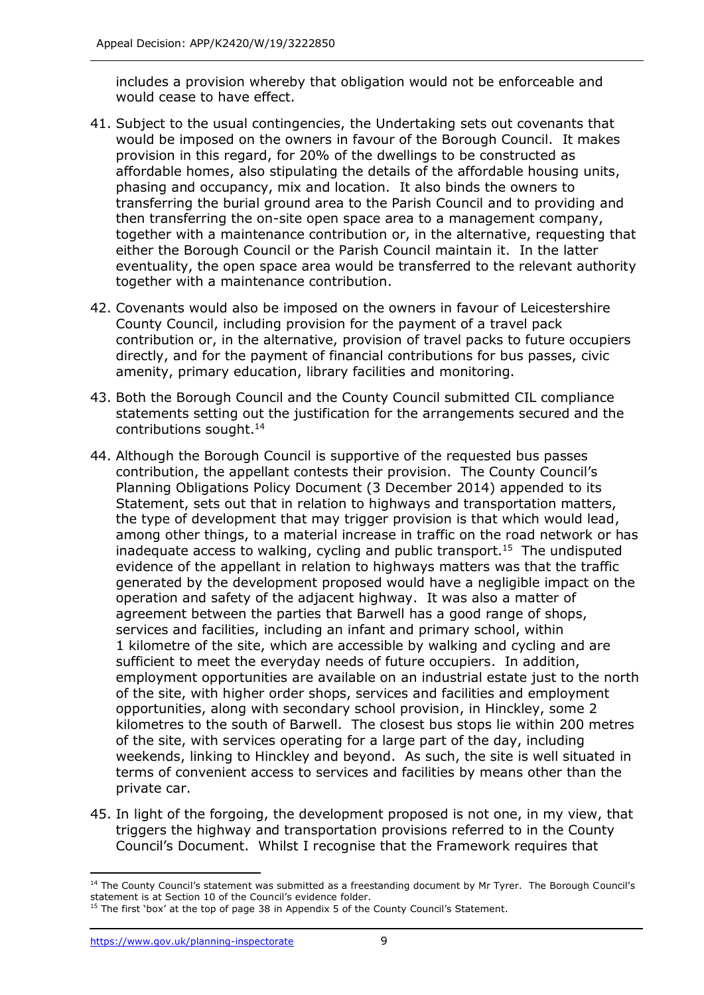includes a provision whereby that obligation would not be enforceable and would cease to have effect.

- 41. Subject to the usual contingencies, the Undertaking sets out covenants that would be imposed on the owners in favour of the Borough Council. It makes provision in this regard, for 20% of the dwellings to be constructed as affordable homes, also stipulating the details of the affordable housing units, phasing and occupancy, mix and location. It also binds the owners to transferring the burial ground area to the Parish Council and to providing and then transferring the on-site open space area to a management company, together with a maintenance contribution or, in the alternative, requesting that either the Borough Council or the Parish Council maintain it. In the latter eventuality, the open space area would be transferred to the relevant authority together with a maintenance contribution.
- 42. Covenants would also be imposed on the owners in favour of Leicestershire County Council, including provision for the payment of a travel pack contribution or, in the alternative, provision of travel packs to future occupiers directly, and for the payment of financial contributions for bus passes, civic amenity, primary education, library facilities and monitoring.
- 43. Both the Borough Council and the County Council submitted CIL compliance statements setting out the justification for the arrangements secured and the contributions sought.<sup>14</sup>
- 44. Although the Borough Council is supportive of the requested bus passes contribution, the appellant contests their provision. The County Council's Planning Obligations Policy Document (3 December 2014) appended to its Statement, sets out that in relation to highways and transportation matters, the type of development that may trigger provision is that which would lead, among other things, to a material increase in traffic on the road network or has inadequate access to walking, cycling and public transport.<sup>15</sup> The undisputed evidence of the appellant in relation to highways matters was that the traffic generated by the development proposed would have a negligible impact on the operation and safety of the adjacent highway. It was also a matter of agreement between the parties that Barwell has a good range of shops, services and facilities, including an infant and primary school, within 1 kilometre of the site, which are accessible by walking and cycling and are sufficient to meet the everyday needs of future occupiers. In addition, employment opportunities are available on an industrial estate just to the north of the site, with higher order shops, services and facilities and employment opportunities, along with secondary school provision, in Hinckley, some 2 kilometres to the south of Barwell. The closest bus stops lie within 200 metres of the site, with services operating for a large part of the day, including weekends, linking to Hinckley and beyond. As such, the site is well situated in terms of convenient access to services and facilities by means other than the private car.
- 45. In light of the forgoing, the development proposed is not one, in my view, that triggers the highway and transportation provisions referred to in the County Council's Document. Whilst I recognise that the Framework requires that

 $\overline{a}$ 

<sup>&</sup>lt;sup>14</sup> The County Council's statement was submitted as a freestanding document by Mr Tyrer. The Borough Council's statement is at Section 10 of the Council's evidence folder.

<sup>&</sup>lt;sup>15</sup> The first 'box' at the top of page 38 in Appendix 5 of the County Council's Statement.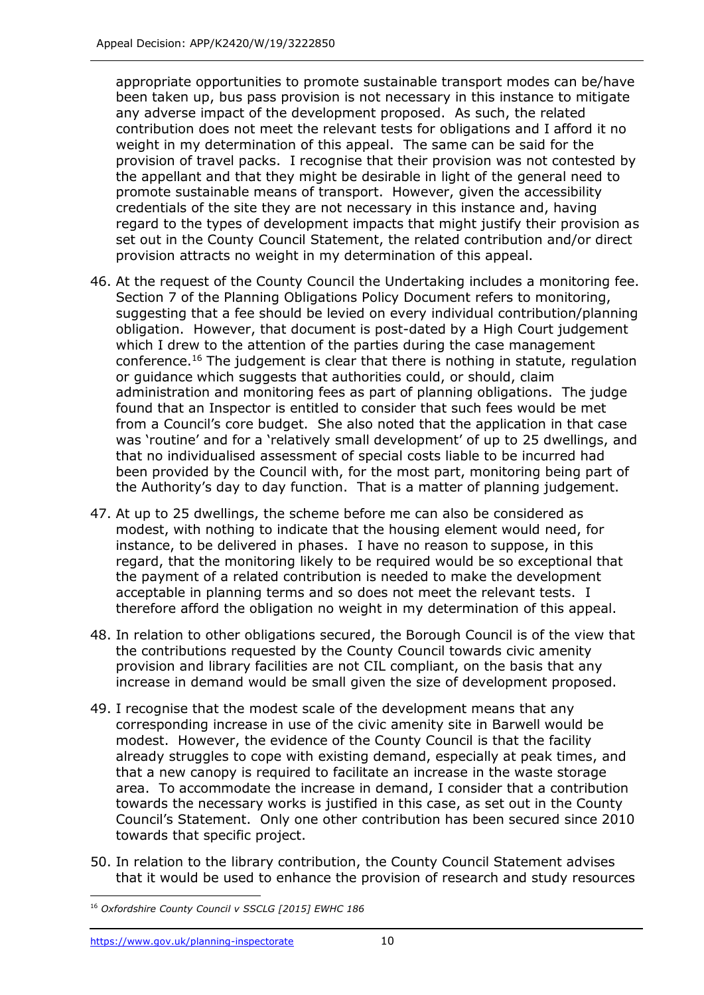appropriate opportunities to promote sustainable transport modes can be/have been taken up, bus pass provision is not necessary in this instance to mitigate any adverse impact of the development proposed. As such, the related contribution does not meet the relevant tests for obligations and I afford it no weight in my determination of this appeal. The same can be said for the provision of travel packs. I recognise that their provision was not contested by the appellant and that they might be desirable in light of the general need to promote sustainable means of transport. However, given the accessibility credentials of the site they are not necessary in this instance and, having regard to the types of development impacts that might justify their provision as set out in the County Council Statement, the related contribution and/or direct provision attracts no weight in my determination of this appeal.

- 46. At the request of the County Council the Undertaking includes a monitoring fee. Section 7 of the Planning Obligations Policy Document refers to monitoring, suggesting that a fee should be levied on every individual contribution/planning obligation. However, that document is post-dated by a High Court judgement which I drew to the attention of the parties during the case management conference.<sup>16</sup> The judgement is clear that there is nothing in statute, regulation or guidance which suggests that authorities could, or should, claim administration and monitoring fees as part of planning obligations. The judge found that an Inspector is entitled to consider that such fees would be met from a Council's core budget. She also noted that the application in that case was 'routine' and for a 'relatively small development' of up to 25 dwellings, and that no individualised assessment of special costs liable to be incurred had been provided by the Council with, for the most part, monitoring being part of the Authority's day to day function. That is a matter of planning judgement.
- 47. At up to 25 dwellings, the scheme before me can also be considered as modest, with nothing to indicate that the housing element would need, for instance, to be delivered in phases. I have no reason to suppose, in this regard, that the monitoring likely to be required would be so exceptional that the payment of a related contribution is needed to make the development acceptable in planning terms and so does not meet the relevant tests. I therefore afford the obligation no weight in my determination of this appeal.
- 48. In relation to other obligations secured, the Borough Council is of the view that the contributions requested by the County Council towards civic amenity provision and library facilities are not CIL compliant, on the basis that any increase in demand would be small given the size of development proposed.
- 49. I recognise that the modest scale of the development means that any corresponding increase in use of the civic amenity site in Barwell would be modest. However, the evidence of the County Council is that the facility already struggles to cope with existing demand, especially at peak times, and that a new canopy is required to facilitate an increase in the waste storage area. To accommodate the increase in demand, I consider that a contribution towards the necessary works is justified in this case, as set out in the County Council's Statement. Only one other contribution has been secured since 2010 towards that specific project.
- 50. In relation to the library contribution, the County Council Statement advises that it would be used to enhance the provision of research and study resources

j <sup>16</sup> *Oxfordshire County Council v SSCLG [2015] EWHC 186*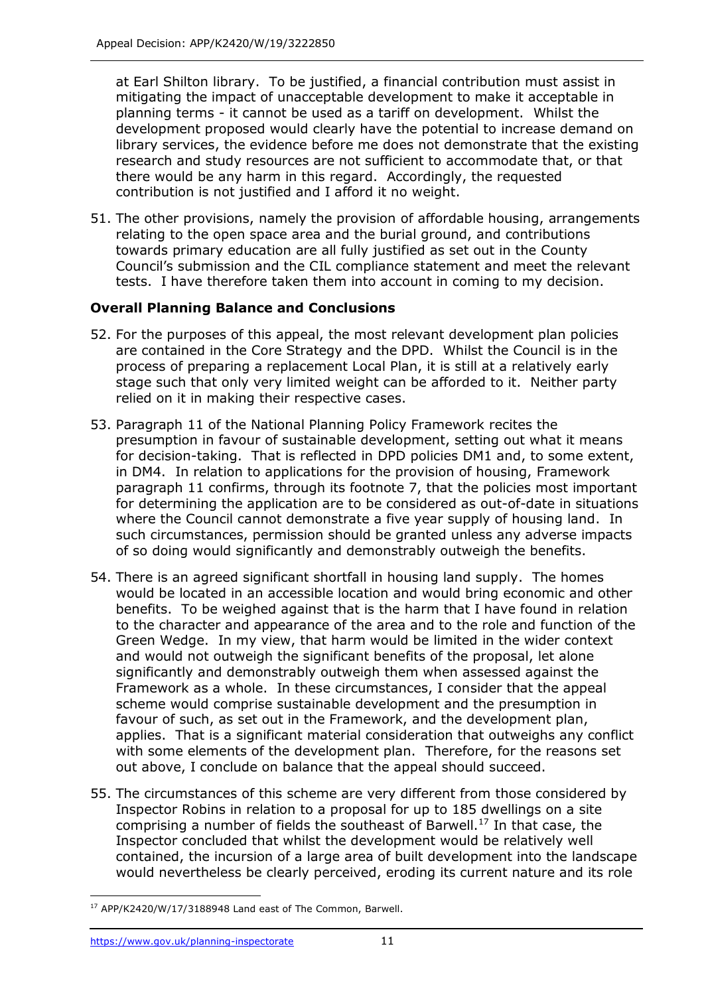at Earl Shilton library. To be justified, a financial contribution must assist in mitigating the impact of unacceptable development to make it acceptable in planning terms - it cannot be used as a tariff on development. Whilst the development proposed would clearly have the potential to increase demand on library services, the evidence before me does not demonstrate that the existing research and study resources are not sufficient to accommodate that, or that there would be any harm in this regard. Accordingly, the requested contribution is not justified and I afford it no weight.

51. The other provisions, namely the provision of affordable housing, arrangements relating to the open space area and the burial ground, and contributions towards primary education are all fully justified as set out in the County Council's submission and the CIL compliance statement and meet the relevant tests. I have therefore taken them into account in coming to my decision.

# **Overall Planning Balance and Conclusions**

- 52. For the purposes of this appeal, the most relevant development plan policies are contained in the Core Strategy and the DPD. Whilst the Council is in the process of preparing a replacement Local Plan, it is still at a relatively early stage such that only very limited weight can be afforded to it. Neither party relied on it in making their respective cases.
- 53. Paragraph 11 of the National Planning Policy Framework recites the presumption in favour of sustainable development, setting out what it means for decision-taking. That is reflected in DPD policies DM1 and, to some extent, in DM4. In relation to applications for the provision of housing, Framework paragraph 11 confirms, through its footnote 7, that the policies most important for determining the application are to be considered as out-of-date in situations where the Council cannot demonstrate a five year supply of housing land. In such circumstances, permission should be granted unless any adverse impacts of so doing would significantly and demonstrably outweigh the benefits.
- 54. There is an agreed significant shortfall in housing land supply. The homes would be located in an accessible location and would bring economic and other benefits. To be weighed against that is the harm that I have found in relation to the character and appearance of the area and to the role and function of the Green Wedge. In my view, that harm would be limited in the wider context and would not outweigh the significant benefits of the proposal, let alone significantly and demonstrably outweigh them when assessed against the Framework as a whole. In these circumstances, I consider that the appeal scheme would comprise sustainable development and the presumption in favour of such, as set out in the Framework, and the development plan, applies. That is a significant material consideration that outweighs any conflict with some elements of the development plan. Therefore, for the reasons set out above, I conclude on balance that the appeal should succeed.
- 55. The circumstances of this scheme are very different from those considered by Inspector Robins in relation to a proposal for up to 185 dwellings on a site comprising a number of fields the southeast of Barwell.<sup>17</sup> In that case, the Inspector concluded that whilst the development would be relatively well contained, the incursion of a large area of built development into the landscape would nevertheless be clearly perceived, eroding its current nature and its role

j <sup>17</sup> APP/K2420/W/17/3188948 Land east of The Common, Barwell.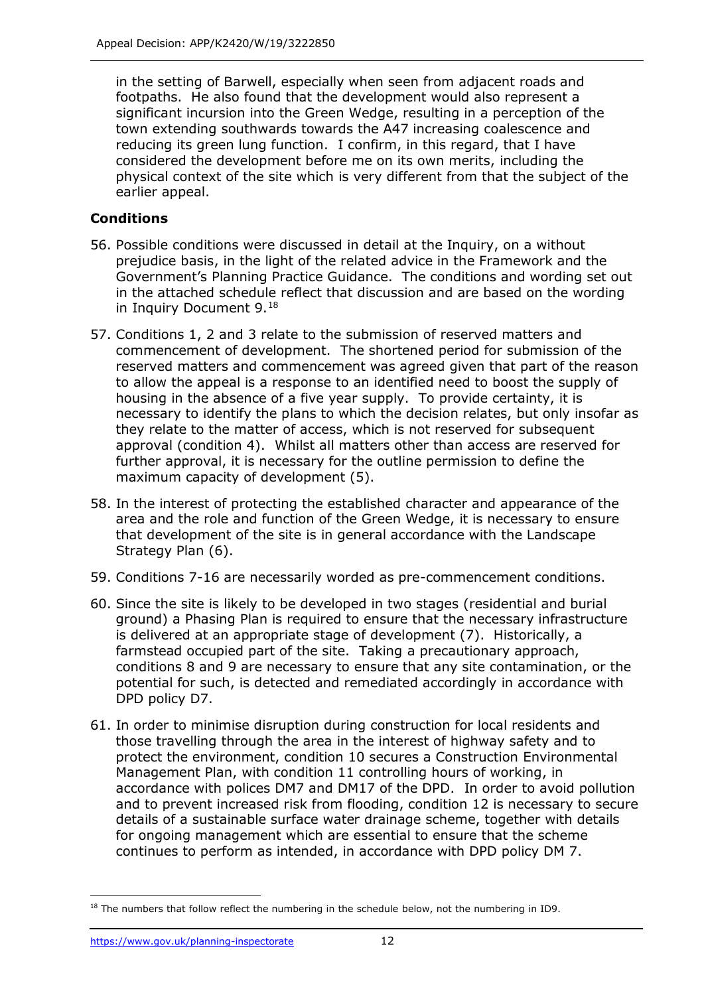in the setting of Barwell, especially when seen from adjacent roads and footpaths. He also found that the development would also represent a significant incursion into the Green Wedge, resulting in a perception of the town extending southwards towards the A47 increasing coalescence and reducing its green lung function. I confirm, in this regard, that I have considered the development before me on its own merits, including the physical context of the site which is very different from that the subject of the earlier appeal.

# **Conditions**

- 56. Possible conditions were discussed in detail at the Inquiry, on a without prejudice basis, in the light of the related advice in the Framework and the Government's Planning Practice Guidance. The conditions and wording set out in the attached schedule reflect that discussion and are based on the wording in Inquiry Document 9.<sup>18</sup>
- 57. Conditions 1, 2 and 3 relate to the submission of reserved matters and commencement of development. The shortened period for submission of the reserved matters and commencement was agreed given that part of the reason to allow the appeal is a response to an identified need to boost the supply of housing in the absence of a five year supply. To provide certainty, it is necessary to identify the plans to which the decision relates, but only insofar as they relate to the matter of access, which is not reserved for subsequent approval (condition 4). Whilst all matters other than access are reserved for further approval, it is necessary for the outline permission to define the maximum capacity of development (5).
- 58. In the interest of protecting the established character and appearance of the area and the role and function of the Green Wedge, it is necessary to ensure that development of the site is in general accordance with the Landscape Strategy Plan (6).
- 59. Conditions 7-16 are necessarily worded as pre-commencement conditions.
- 60. Since the site is likely to be developed in two stages (residential and burial ground) a Phasing Plan is required to ensure that the necessary infrastructure is delivered at an appropriate stage of development (7). Historically, a farmstead occupied part of the site. Taking a precautionary approach, conditions 8 and 9 are necessary to ensure that any site contamination, or the potential for such, is detected and remediated accordingly in accordance with DPD policy D7.
- 61. In order to minimise disruption during construction for local residents and those travelling through the area in the interest of highway safety and to protect the environment, condition 10 secures a Construction Environmental Management Plan, with condition 11 controlling hours of working, in accordance with polices DM7 and DM17 of the DPD. In order to avoid pollution and to prevent increased risk from flooding, condition 12 is necessary to secure details of a sustainable surface water drainage scheme, together with details for ongoing management which are essential to ensure that the scheme continues to perform as intended, in accordance with DPD policy DM 7.

j <sup>18</sup> The numbers that follow reflect the numbering in the schedule below, not the numbering in ID9.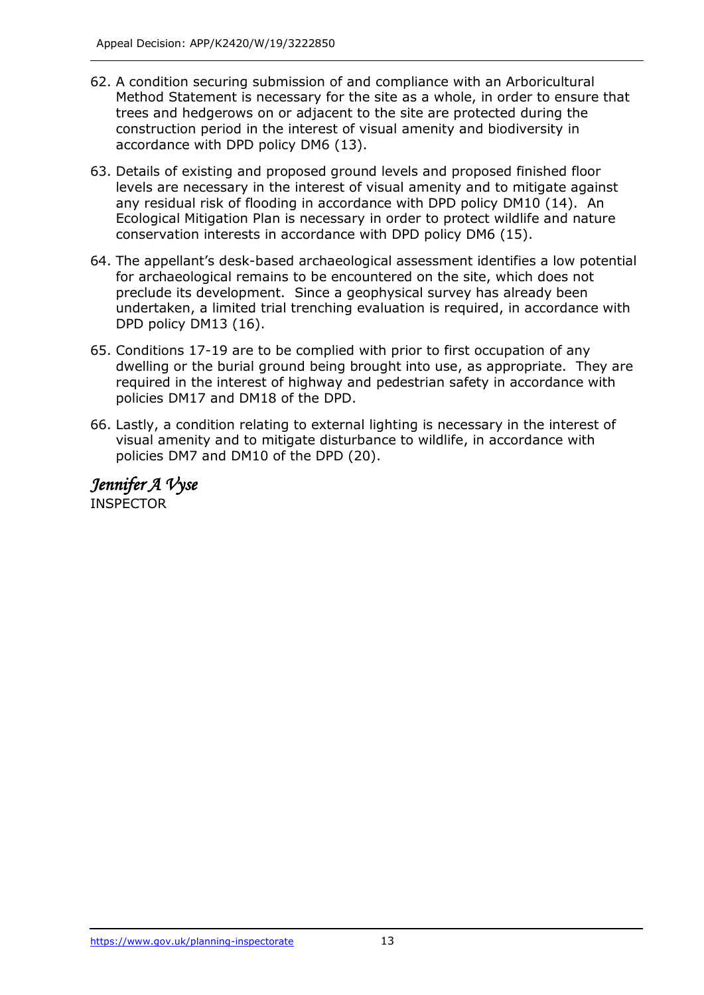- 62. A condition securing submission of and compliance with an Arboricultural Method Statement is necessary for the site as a whole, in order to ensure that trees and hedgerows on or adjacent to the site are protected during the construction period in the interest of visual amenity and biodiversity in accordance with DPD policy DM6 (13).
- 63. Details of existing and proposed ground levels and proposed finished floor levels are necessary in the interest of visual amenity and to mitigate against any residual risk of flooding in accordance with DPD policy DM10 (14). An Ecological Mitigation Plan is necessary in order to protect wildlife and nature conservation interests in accordance with DPD policy DM6 (15).
- 64. The appellant's desk-based archaeological assessment identifies a low potential for archaeological remains to be encountered on the site, which does not preclude its development. Since a geophysical survey has already been undertaken, a limited trial trenching evaluation is required, in accordance with DPD policy DM13 (16).
- 65. Conditions 17-19 are to be complied with prior to first occupation of any dwelling or the burial ground being brought into use, as appropriate. They are required in the interest of highway and pedestrian safety in accordance with policies DM17 and DM18 of the DPD.
- 66. Lastly, a condition relating to external lighting is necessary in the interest of visual amenity and to mitigate disturbance to wildlife, in accordance with policies DM7 and DM10 of the DPD (20).

*Jennifer A Vyse*  INSPECTOR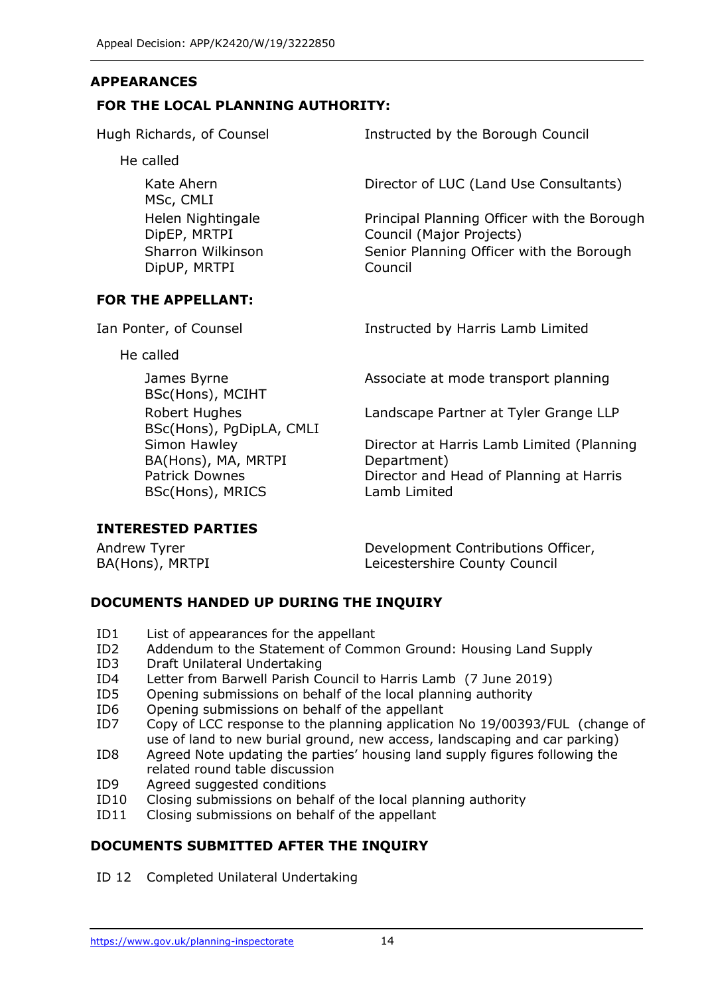#### **APPEARANCES**

#### **FOR THE LOCAL PLANNING AUTHORITY:**

He called

Kate Ahern MSc, CMLI Helen Nightingale DipEP, MRTPI Sharron Wilkinson DipUP, MRTPI

#### **FOR THE APPELLANT:**

He called

James Byrne BSc(Hons), MCIHT Robert Hughes BSc(Hons), PgDipLA, CMLI Simon Hawley BA(Hons), MA, MRTPI Patrick Downes BSc(Hons), MRICS

Hugh Richards, of Counsel **Instructed by the Borough Council** 

Director of LUC (Land Use Consultants)

Principal Planning Officer with the Borough Council (Major Projects) Senior Planning Officer with the Borough Council

Ian Ponter, of Counsel **Instructed by Harris Lamb Limited** 

Associate at mode transport planning

Landscape Partner at Tyler Grange LLP

Director at Harris Lamb Limited (Planning Department) Director and Head of Planning at Harris Lamb Limited

#### **INTERESTED PARTIES**

| Andrew Tyrer    | Development Contributions Officer, |
|-----------------|------------------------------------|
| BA(Hons), MRTPI | Leicestershire County Council      |

# **DOCUMENTS HANDED UP DURING THE INQUIRY**

- ID1 List of appearances for the appellant
- ID2 Addendum to the Statement of Common Ground: Housing Land Supply
- ID3 Draft Unilateral Undertaking
- ID4 Letter from Barwell Parish Council to Harris Lamb (7 June 2019)
- ID5 Opening submissions on behalf of the local planning authority
- ID6 Opening submissions on behalf of the appellant
- ID7 Copy of LCC response to the planning application No 19/00393/FUL (change of use of land to new burial ground, new access, landscaping and car parking)
- ID8 Agreed Note updating the parties' housing land supply figures following the related round table discussion
- ID9 Agreed suggested conditions
- ID10 Closing submissions on behalf of the local planning authority
- ID11 Closing submissions on behalf of the appellant

# **DOCUMENTS SUBMITTED AFTER THE INQUIRY**

ID 12 Completed Unilateral Undertaking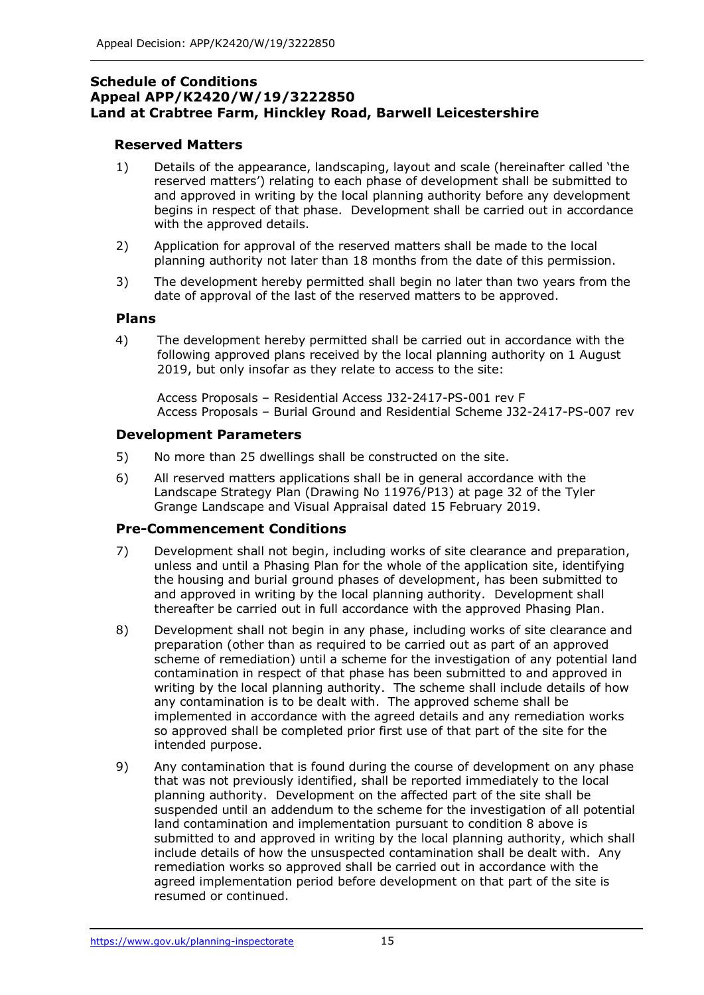#### **Schedule of Conditions Appeal APP/K2420/W/19/3222850 Land at Crabtree Farm, Hinckley Road, Barwell Leicestershire**

#### **Reserved Matters**

- 1) Details of the appearance, landscaping, layout and scale (hereinafter called 'the reserved matters') relating to each phase of development shall be submitted to and approved in writing by the local planning authority before any development begins in respect of that phase. Development shall be carried out in accordance with the approved details.
- 2) Application for approval of the reserved matters shall be made to the local planning authority not later than 18 months from the date of this permission.
- 3) The development hereby permitted shall begin no later than two years from the date of approval of the last of the reserved matters to be approved.

#### **Plans**

4) The development hereby permitted shall be carried out in accordance with the following approved plans received by the local planning authority on 1 August 2019, but only insofar as they relate to access to the site:

Access Proposals – Residential Access J32-2417-PS-001 rev F Access Proposals – Burial Ground and Residential Scheme J32-2417-PS-007 rev

#### **Development Parameters**

- 5) No more than 25 dwellings shall be constructed on the site.
- 6) All reserved matters applications shall be in general accordance with the Landscape Strategy Plan (Drawing No 11976/P13) at page 32 of the Tyler Grange Landscape and Visual Appraisal dated 15 February 2019.

# **Pre-Commencement Conditions**

- 7) Development shall not begin, including works of site clearance and preparation, unless and until a Phasing Plan for the whole of the application site, identifying the housing and burial ground phases of development, has been submitted to and approved in writing by the local planning authority. Development shall thereafter be carried out in full accordance with the approved Phasing Plan.
- 8) Development shall not begin in any phase, including works of site clearance and preparation (other than as required to be carried out as part of an approved scheme of remediation) until a scheme for the investigation of any potential land contamination in respect of that phase has been submitted to and approved in writing by the local planning authority. The scheme shall include details of how any contamination is to be dealt with. The approved scheme shall be implemented in accordance with the agreed details and any remediation works so approved shall be completed prior first use of that part of the site for the intended purpose.
- 9) Any contamination that is found during the course of development on any phase that was not previously identified, shall be reported immediately to the local planning authority. Development on the affected part of the site shall be suspended until an addendum to the scheme for the investigation of all potential land contamination and implementation pursuant to condition 8 above is submitted to and approved in writing by the local planning authority, which shall include details of how the unsuspected contamination shall be dealt with. Any remediation works so approved shall be carried out in accordance with the agreed implementation period before development on that part of the site is resumed or continued.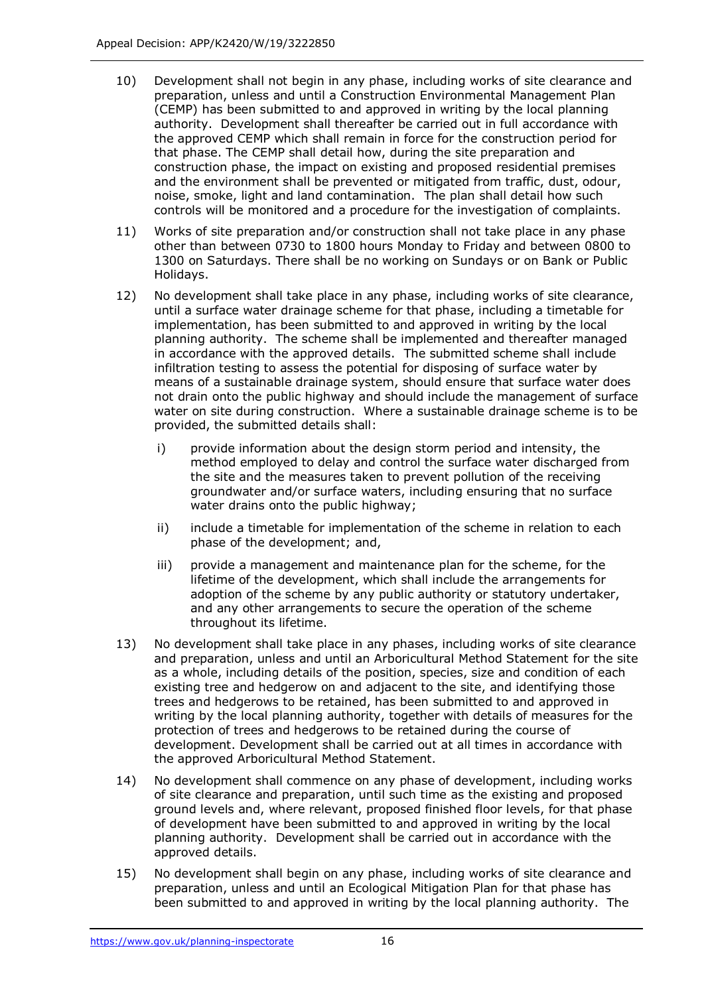- 10) Development shall not begin in any phase, including works of site clearance and preparation, unless and until a Construction Environmental Management Plan (CEMP) has been submitted to and approved in writing by the local planning authority. Development shall thereafter be carried out in full accordance with the approved CEMP which shall remain in force for the construction period for that phase. The CEMP shall detail how, during the site preparation and construction phase, the impact on existing and proposed residential premises and the environment shall be prevented or mitigated from traffic, dust, odour, noise, smoke, light and land contamination. The plan shall detail how such controls will be monitored and a procedure for the investigation of complaints.
- 11) Works of site preparation and/or construction shall not take place in any phase other than between 0730 to 1800 hours Monday to Friday and between 0800 to 1300 on Saturdays. There shall be no working on Sundays or on Bank or Public Holidays.
- 12) No development shall take place in any phase, including works of site clearance, until a surface water drainage scheme for that phase, including a timetable for implementation, has been submitted to and approved in writing by the local planning authority. The scheme shall be implemented and thereafter managed in accordance with the approved details. The submitted scheme shall include infiltration testing to assess the potential for disposing of surface water by means of a sustainable drainage system, should ensure that surface water does not drain onto the public highway and should include the management of surface water on site during construction. Where a sustainable drainage scheme is to be provided, the submitted details shall:
	- i) provide information about the design storm period and intensity, the method employed to delay and control the surface water discharged from the site and the measures taken to prevent pollution of the receiving groundwater and/or surface waters, including ensuring that no surface water drains onto the public highway;
	- ii) include a timetable for implementation of the scheme in relation to each phase of the development; and,
	- iii) provide a management and maintenance plan for the scheme, for the lifetime of the development, which shall include the arrangements for adoption of the scheme by any public authority or statutory undertaker, and any other arrangements to secure the operation of the scheme throughout its lifetime.
- 13) No development shall take place in any phases, including works of site clearance and preparation, unless and until an Arboricultural Method Statement for the site as a whole, including details of the position, species, size and condition of each existing tree and hedgerow on and adjacent to the site, and identifying those trees and hedgerows to be retained, has been submitted to and approved in writing by the local planning authority, together with details of measures for the protection of trees and hedgerows to be retained during the course of development. Development shall be carried out at all times in accordance with the approved Arboricultural Method Statement.
- 14) No development shall commence on any phase of development, including works of site clearance and preparation, until such time as the existing and proposed ground levels and, where relevant, proposed finished floor levels, for that phase of development have been submitted to and approved in writing by the local planning authority. Development shall be carried out in accordance with the approved details.
- 15) No development shall begin on any phase, including works of site clearance and preparation, unless and until an Ecological Mitigation Plan for that phase has been submitted to and approved in writing by the local planning authority. The